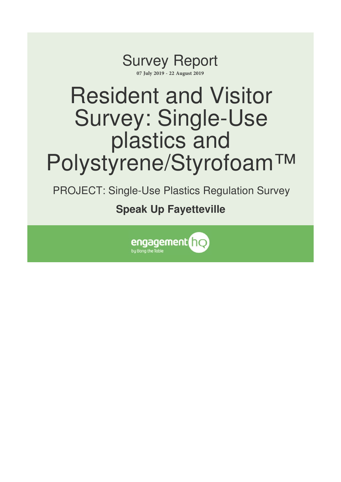

# Resident and Visitor Survey: Single-Use plastics and Polystyrene/Styrofoam™

PROJECT: Single-Use Plastics Regulation Survey

**Speak Up Fayetteville**

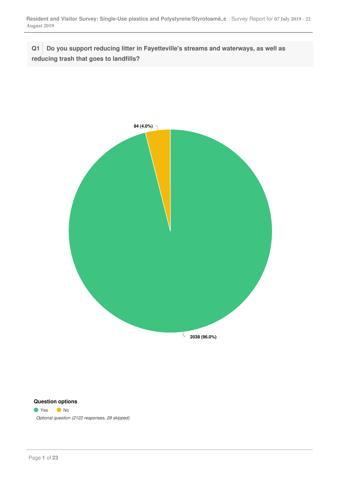**Q1 Do you support reducing litter in Fayetteville's streams and waterways, as well as reducing trash that goes to landfills?**



## **Question options**

● Yes ● No *Optional question (2122 responses, 28 skipped)*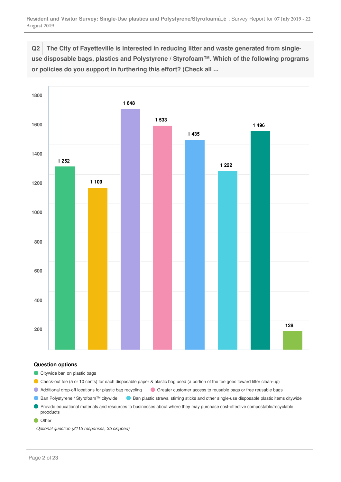**Q2 The City of Fayetteville is interested in reducing litter and waste generated from singleuse disposable bags, plastics and Polystyrene / Styrofoam™. Which of the following programs or policies do you support in furthering this effort? (Check all ...**



## **Question options**

Citywide ban on plastic bags

Check-out fee (5 or 10 cents) for each disposable paper & plastic bag used (a portion of the fee goes toward litter clean-up)

Additional drop-off locations for plastic bag recycling Greater customer access to reusable bags or free reusable bags

 $\bullet$ Ban Polystyrene / Styrofoam™ citywide <br>
Ban plastic straws, stirring sticks and other single-use disposable plastic items citywide

Provide educational materials and resources to businesses about where they may purchase cost-effective compostable/recyclable prooducts

**Other** 

*Optional question (2115 responses, 35 skipped)*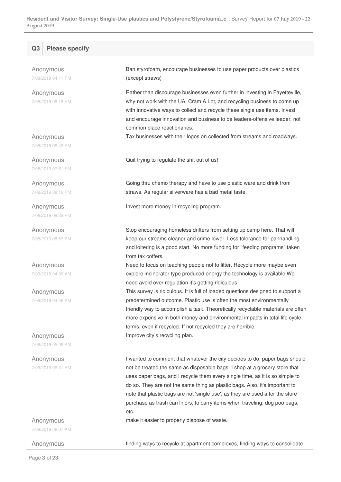## **Q3 Please specify**

Anonymous 7/08/2019 04:11 PM

Anonymous 7/08/2019 06:18 PM

Anonymous 7/08/2019 06:43 PM

Anonymous 7/08/2019 07:51 PM

Anonymous 7/08/2019 08:16 PM

Anonymous 7/08/2019 08:29 PM

Anonymous 7/08/2019 08:57 PM

Anonymous 7/09/2019 04:39 AM

Anonymous 7/09/2019 04:56 AM

Anonymous 7/09/2019 05:09 AM

Anonymous 7/09/2019 06:31 AM

Anonymous

7/09/2019 06:37 AM

Ban styrofoam, encourage businesses to use paper products over plastics (except straws)

Rather than discourage businesses even further in investing in Fayetteville, why not work with the UA, Cram A Lot, and recycling business to come up with innovative ways to collect and recycle these single use items. Invest and encourage innovation and business to be leaders-offensive leader, not common place reactionaries.

Tax businesses with their logos on collected from streams and roadways.

Quit trying to regulate the shit out of us!

Going thru chemo therapy and have to use plastic ware and drink from straws. As regular silverware has a bad metal taste.

Invest more money in recycling program.

Stop encouraging homeless drifters from setting up camp here. That will keep our streams cleaner and crime lower. Less tolerance for panhandling and loitering is a good start. No more funding for "feeding programs" taken from tax coffers.

Need to focus on teaching people not to litter. Recycle more maybe even explore incinerator type produced energy the technology is available We need avoid over regulation it's getting ridiculous

This survey is ridiculous. It is full of loaded questions designed to support a predetermined outcome. Plastic use is often the most environmentally friendly way to accomplish a task. Theoretically recyclable materials are often more expensive in both money and environmental impacts in total life cycle terms, even if recycled. If not recycled they are horrible. Improve city's recycling plan.

I wanted to comment that whatever the city decides to do, paper bags should not be treated the same as disposable bags. I shop at a grocery store that uses paper bags, and I recycle them every single time, as it is so simple to do so. They are not the same thing as plastic bags. Also, it's important to note that plastic bags are not 'single use', as they are used after the store purchase as trash can liners, to carry items when traveling, dog poo bags, etc.

make it easier to properly dispose of waste.

Anonymous **Finding ways to recycle at apartment complexes**, finding ways to consolidate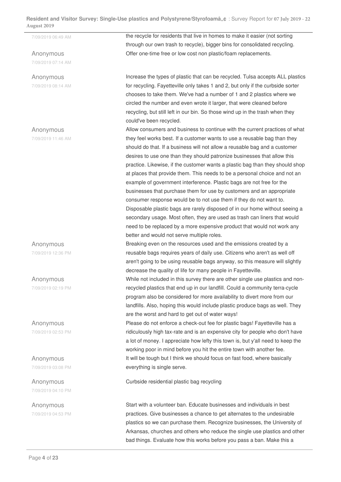Anonymous 7/09/2019 07:14 AM

## Anonymous 7/09/2019 08:14 AM

Anonymous

7/09/2019 11:46 AM

Anonymous

7/09/2019 12:36 PM

Anonymous 7/09/2019 02:19 PM

Anonymous 7/09/2019 02:53 PM

Anonymous 7/09/2019 03:08 PM

Anonymous 7/09/2019 04:10 PM

Anonymous 7/09/2019 04:53 PM

7/09/2019 06:49 AM the recycle for residents that live in homes to make it easier (not sorting through our own trash to recycle), bigger bins for consolidated recycling. Offer one-time free or low cost non plastic/foam replacements.

> Increase the types of plastic that can be recycled. Tulsa accepts ALL plastics for recycling. Fayetteville only takes 1 and 2, but only if the curbside sorter chooses to take them. We've had a number of 1 and 2 plastics where we circled the number and even wrote it larger, that were cleaned before recycling, but still left in our bin. So those wind up in the trash when they could've been recycled.

> Allow consumers and business to continue with the current practices of what they feel works best. If a customer wants to use a reusable bag than they should do that. If a business will not allow a reusable bag and a customer desires to use one than they should patronize businesses that allow this practice. Likewise, if the customer wants a plastic bag than they should shop at places that provide them. This needs to be a personal choice and not an example of government interference. Plastic bags are not free for the businesses that purchase them for use by customers and an appropriate consumer response would be to not use them if they do not want to. Disposable plastic bags are rarely disposed of in our home without seeing a secondary usage. Most often, they are used as trash can liners that would need to be replaced by a more expensive product that would not work any better and would not serve multiple roles.

Breaking even on the resources used and the emissions created by a reusable bags requires years of daily use. Citizens who aren't as well off aren't going to be using reusable bags anyway, so this measure will slightly decrease the quality of life for many people in Fayetteville.

While not included in this survey there are other single use plastics and nonrecycled plastics that end up in our landfill. Could a community terra-cycle program also be considered for more availability to divert more from our landfills. Also, hoping this would include plastic produce bags as well. They are the worst and hard to get out of water ways!

Please do not enforce a check-out fee for plastic bags! Fayetteville has a ridiculously high tax-rate and is an expensive city for people who don't have a lot of money. I appreciate how lefty this town is, but y'all need to keep the working poor in mind before you hit the entire town with another fee. It will be tough but I think we should focus on fast food, where basically everything is single serve.

Curbside residential plastic bag recycling

Start with a volunteer ban. Educate businesses and individuals in best practices. Give businesses a chance to get alternates to the undesirable plastics so we can purchase them. Recognize businesses, the University of Arkansas, churches and others who reduce the single use plastics and other bad things. Evaluate how this works before you pass a ban. Make this a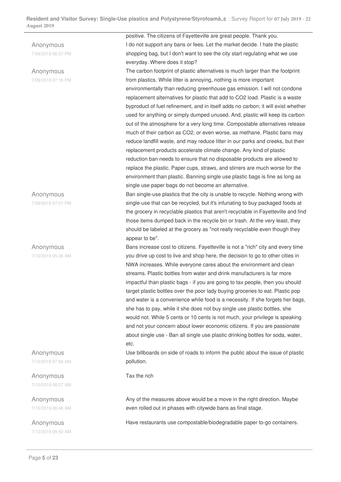Anonymous

Anonymous 7/09/2019 06:37 PM

Anonymous 7/09/2019 07:16 PM

7/09/2019 07:51 PM

Anonymous

7/10/2019 05:36 AM

Anonymous 7/10/2019 07:56 AM

Anonymous 7/10/2019 08:27 AM

Anonymous 7/10/2019 08:48 AM

Anonymous 7/10/2019 09:50 AM positive. The citizens of Fayetteville are great people. Thank you. I do not support any bans or fees. Let the market decide. I hate the plastic shopping bag, but I don't want to see the city start regulating what we use everyday. Where does it stop?

The carbon footprint of plastic alternatives is much larger than the footprint from plastics. While litter is annoying, nothing is more important environmentally than reducing greenhouse gas emission. I will not condone replacement alternatives for plastic that add to CO2 load. Plastic is a waste byproduct of fuel refinement, and in itself adds no carbon; it will exist whether used for anything or simply dumped unused. And, plastic will keep its carbon out of the atmosphere for a very long time. Compostable alternatives release much of their carbon as CO2, or even worse, as methane. Plastic bans may reduce landfill waste, and may reduce litter in our parks and creeks, but their replacement products accelerate climate change. Any kind of plastic reduction ban needs to ensure that no disposable products are allowed to replace the plastic. Paper cups, straws, and stirrers are much worse for the environment than plastic. Banning single use plastic bags is fine as long as single use paper bags do not become an alternative.

Ban single-use plastics that the city is unable to recycle. Nothing wrong with single-use that can be recycled, but it's infuriating to buy packaged foods at the grocery in recyclable plastics that aren't recyclable in Fayetteville and find those items dumped back in the recycle bin or trash. At the very least, they should be labeled at the grocery as "not really recyclable even though they appear to be".

Bans increase cost to citizens. Fayetteville is not a "rich" city and every time you drive up cost to live and shop here, the decision to go to other cities in NWA increases. While everyone cares about the environment and clean streams. Plastic bottles from water and drink manufacturers is far more impactful than plastic bags - if you are going to tax people, then you should target plastic bottles over the poor lady buying groceries to eat. Plastic pop and water is a convenience while food is a necessity. If she forgets her bags, she has to pay, while it she does not buy single use plastic bottles, she would not. While 5 cents or 10 cents is not much, your privilege is speaking and not your concern about lower economic citizens. If you are passionate about single use - Ban all single use plastic drinking bottles for soda, water, etc.

Use billboards on side of roads to inform the public about the issue of plastic pollution.

Tax the rich

Any of the measures above would be a move in the right direction. Maybe even rolled out in phases with citywide bans as final stage.

Have restaurants use compostable/biodegradable paper to-go containers.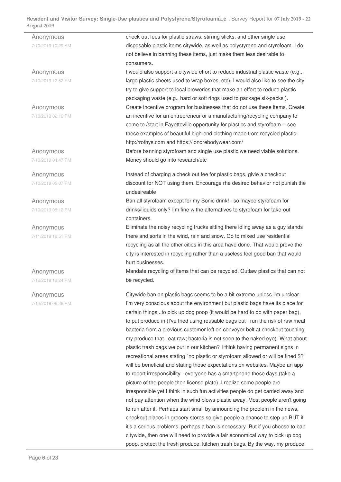Anonymous 7/10/2019 10:29 AM check-out fees for plastic straws. stirring sticks, and other single-use disposable plastic items citywide, as well as polystyrene and styrofoam. I do not believe in banning these items, just make them less desirable to consumers. Anonymous 7/10/2019 12:52 PM I would also support a citywide effort to reduce industrial plastic waste (e.g., large plastic sheets used to wrap boxes, etc). I would also like to see the city try to give support to local breweries that make an effort to reduce plastic packaging waste (e.g., hard or soft rings used to package six-packs ). Anonymous 7/10/2019 02:19 PM Create incentive program for businesses that do not use these items. Create an incentive for an entrepreneur or a manufacturing/recycling company to come to /start in Fayetteville opportunity for plastics and styrofoam -- see these examples of beautiful high-end clothing made from recycled plastic: http://rothys.com and https://londrebodywear.com/ Anonymous 7/10/2019 04:47 PM Before banning styrofoam and single use plastic we need viable solutions. Money should go into research/etc Anonymous 7/10/2019 05:07 PM Instead of charging a check out fee for plastic bags, givie a checkout discount for NOT using them. Encourage rhe desired behavior not punish the undesireable Anonymous 7/10/2019 08:12 PM Ban all styrofoam except for my Sonic drink! - so maybe styrofoam for drinks/liquids only? I'm fine w the alternatives to styrofoam for take-out containers. Anonymous 7/11/2019 12:51 PM Eliminate the noisy recycling trucks sitting there idling away as a guy stands there and sorts in the wind, rain and snow. Go to mixed use residential recycling as all the other cities in this area have done. That would prove the city is interested in recycling rather than a useless feel good ban that would hurt businesses. Anonymous 7/12/2019 12:24 PM Mandate recycling of items that can be recycled. Outlaw plastics that can not be recycled. Anonymous 7/12/2019 06:36 PM Citywide ban on plastic bags seems to be a bit extreme unless I'm unclear. I'm very conscious about the environment but plastic bags have its place for certain things...to pick up dog poop (it would be hard to do with paper bag),

> to put produce in (I've tried using reusable bags but I run the risk of raw meat bacteria from a previous customer left on conveyor belt at checkout touching my produce that I eat raw; bacteria is not seen to the naked eye). What about plastic trash bags we put in our kitchen? I think having permanent signs in recreational areas stating "no plastic or styrofoam allowed or will be fined \$?" will be beneficial and stating those expectations on websites. Maybe an app to report irresponsibility...everyone has a smartphone these days (take a

picture of the people then license plate). I realize some people are

irresponsible yet I think in such fun activities people do get carried away and not pay attention when the wind blows plastic away. Most people aren't going to run after it. Perhaps start small by announcing the problem in the news, checkout places in grocery stores so give people a chance to step up BUT if it's a serious problems, perhaps a ban is necessary. But if you choose to ban citywide, then one will need to provide a fair economical way to pick up dog poop, protect the fresh produce, kitchen trash bags. By the way, my produce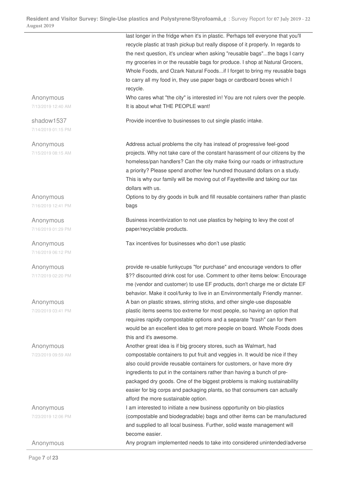last longer in the fridge when it's in plastic. Perhaps tell everyone that you'll recycle plastic at trash pickup but really dispose of it properly. In regards to the next question, it's unclear when asking "reusable bags"...the bags I carry my groceries in or the reusable bags for produce. I shop at Natural Grocers, Whole Foods, and Ozark Natural Foods...if I forget to bring my reusable bags to carry all my food in, they use paper bags or cardboard boxes which I recycle. Anonymous 7/13/2019 12:40 AM Who cares what "the city" is interested in! You are not rulers over the people. It is about what THE PEOPLE want! shadow1537 7/14/2019 01:15 PM Provide incentive to businesses to cut single plastic intake. Anonymous 7/15/2019 08:15 AM Address actual problems the city has instead of progressive feel-good projects. Why not take care of the constant harassment of our citizens by the homeless/pan handlers? Can the city make fixing our roads or infrastructure a priority? Please spend another few hundred thousand dollars on a study. This is why our family will be moving out of Fayetteville and taking our tax dollars with us. Anonymous 7/16/2019 12:41 PM Options to by dry goods in bulk and fill reusable containers rather than plastic bags Anonymous 7/16/2019 01:29 PM Business incentivization to not use plastics by helping to levy the cost of paper/recyclable products. Anonymous 7/16/2019 06:12 PM Tax incentives for businesses who don't use plastic Anonymous 7/17/2019 02:20 PM provide re-usable funkycups "for purchase" and encourage vendors to offer \$?? discounted drink cost for use. Comment to other items below: Encourage me (vendor and customer) to use EF products, don't charge me or dictate EF behavior. Make it cool/funky to live in an Envinronmentally Friendly manner. Anonymous 7/20/2019 03:41 PM A ban on plastic straws, stirring sticks, and other single-use disposable plastic items seems too extreme for most people, so having an option that requires rapidly compostable options and a separate "trash" can for them would be an excellent idea to get more people on board. Whole Foods does this and it's awesome. Anonymous 7/23/2019 09:59 AM Another great idea is if big grocery stores, such as Walmart, had compostable containers to put fruit and veggies in. It would be nice if they also could provide reusable containers for customers, or have more dry ingredients to put in the containers rather than having a bunch of prepackaged dry goods. One of the biggest problems is making sustainability easier for big corps and packaging plants, so that consumers can actually afford the more sustainable option. Anonymous 7/23/2019 12:06 PM I am interested to initiate a new business opportunity on bio-plastics (compostable and biodegradable) bags and other items can be manufactured and supplied to all local business. Further, solid waste management will become easier. Anonymous Any program implemented needs to take into considered unintended/adverse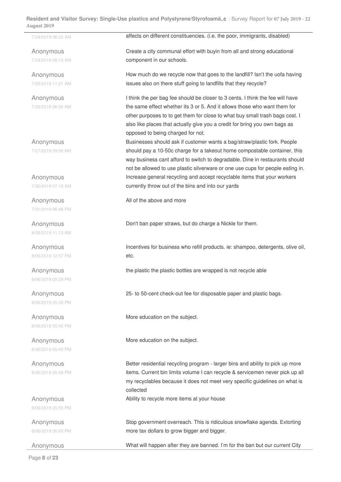7/24/2019 06:22 AM **affects on different constituencies. (i.e. the poor, immigrants, disabled)** Anonymous 7/24/2019 08:13 AM Create a city communal effort with buyin from all and strong educational component in our schools. Anonymous 7/25/2019 11:21 AM How much do we recycle now that goes to the landfill? Isn't the uofa having issues also on there stuff going to landfills that they recycle? Anonymous 7/26/2019 06:56 AM I think the per bag fee should be closer to 3 cents. I think the fee will have the same effect whether its 3 or 5. And it allows those who want them for other purposes to to get them for close to what buy small trash bags cost. I also like places that actually give you a credit for bring you own bags as opposed to being charged for not. Anonymous 7/27/2019 09:56 AM Businesses should ask if customer wants a bag/straw/plastic fork. People should pay a 10-50c charge for a takeout home compostable container, this way business cant afford to switch to degradable. Dine in restaurants should not be allowed to use plastic silverware or one use cups for people eating in. Anonymous 7/30/2019 07:18 AM Increase general recycling and accept recyclable items that your workers currently throw out of the bins and into our yards Anonymous 7/31/2019 06:48 PM All of the above and more Anonymous 8/05/2019 11:13 AM Don't ban paper straws, but do charge a Nickle for them. Anonymous 8/06/2019 12:57 PM Incentives for business who refill products. ie: shampoo, detergents, olive oil, etc. Anonymous 8/06/2019 05:29 PM the plastic the plastic bottles are wrapped is not recycle able Anonymous 8/06/2019 05:30 PM 25- to 50-cent check-out fee for disposable paper and plastic bags. Anonymous 8/06/2019 05:42 PM More education on the subject. Anonymous 8/06/2019 05:43 PM More education on the subject. Anonymous 8/06/2019 05:48 PM Better residential recycling program - larger bins and ability to pick up more items. Current bin limits volume I can recycle & servicemen never pick up all my recyclables because it does not meet very specific guidelines on what is collected Anonymous 8/06/2019 05:55 PM Ability to recycle more items at your house Anonymous Stop government overreach. This is ridiculous snowflake agenda. Extorting

Anonymous What will happen after they are banned. I'm for the ban but our current City

more tax dollars to grow bigger and bigger.

Page **8** of **23**

8/06/2019 06:00 PM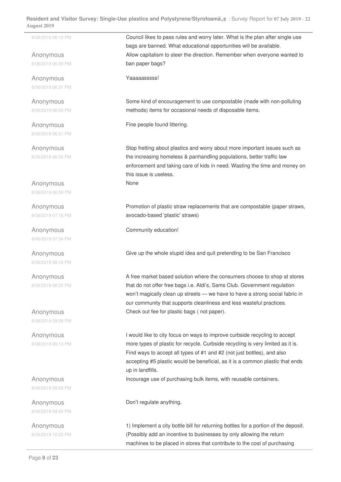Anonymous 8/06/2019 06:29 PM

Anonymous 8/06/2019 06:31 PM

Anonymous 8/06/2019 06:50 PM

Anonymous 8/06/2019 06:51 PM

Anonymous 8/06/2019 06:56 PM

Anonymous 8/06/2019 06:59 PM

Anonymous 8/06/2019 07:16 PM

Anonymous 8/06/2019 07:34 PM

Anonymous 8/06/2019 08:16 PM

Anonymous 8/06/2019 08:23 PM

Anonymous 8/06/2019 09:09 PM

Anonymous 8/06/2019 09:13 PM

Anonymous 8/06/2019 09:29 PM

Anonymous 8/06/2019 09:43 PM

Anonymous 8/06/2019 10:22 PM

8/06/2019 06:12 PM **Council likes to pass rules and worry later. What is the plan after single use** bags are banned. What educational opportunities will be available. Allow capitalism to steer the direction. Remember when everyone wanted to ban paper bags?

Yaaaaasssss!

Some kind of encouragement to use compostable (made with non-polluting methods) items for occasional needs of disposable items.

Fine people found littering.

Stop fretting about plastics and worry about more important issues such as the increasing homeless & panhandling populations, better traffic law enforcement and taking care of kids in need. Wasting the time and money on this issue is useless. None

Promotion of plastic straw replacements that are compostable (paper straws, avocado-based 'plastic' straws)

Community education!

Give up the whole stupid idea and quit pretending to be San Francisco

A free market based solution where the consumers choose to shop at stores that do not offer free bags i.e. Aldi's, Sams Club. Government regulation won't magically clean up streets — we have to have a strong social fabric in our community that supports cleanliness and less wasteful practices. Check out fee for plastic bags ( not paper).

I would like to city focus on ways to improve curbside recycling to accept more types of plastic for recycle. Curbside recycling is very limited as it is. Find ways to accept all types of #1 and #2 (not just bottles), and also accepting #5 plastic would be beneficial, as it is a common plastic that ends up in landfills.

Incourage use of purchasing bulk items, with reusable containers.

Don't regulate anything.

1) Implement a city bottle bill for returning bottles for a portion of the deposit. (Possibly add an incentive to businesses by only allowing the return machines to be placed in stores that contribute to the cost of purchasing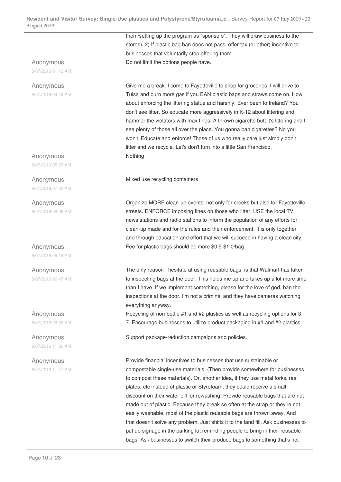## Anonymous

8/07/2019 01:12 AM

Anonymous 8/07/2019 04:49 AM

Anonymous 8/07/2019 05:07 AM

Anonymous 8/07/2019 07:02 AM

Anonymous 8/07/2019 09:09 AM

Anonymous 8/07/2019 09:14 AM

Anonymous 8/07/2019 09:47 AM

Anonymous 8/07/2019 09:52 AM

Anonymous 8/07/2019 11:06 AM

Anonymous 8/07/2019 11:47 AM them/setting up the program as "sponsors". They will draw business to the stores). 2) If plastic bag ban does not pass, offer tax (or other) incentive to businesses that voluntarily stop offering them. Do not limit the options people have.

Give me a break. I come to Fayetteville to shop for groceries. I will drive to Tulsa and burn more gas if you BAN plastic bags and straws come on. How about enforcing the littering statue and harshly. Ever been to Ireland? You don't see litter. So educate more aggressively in K-12 about littering and hammer the violators with max fines. A thrown cigarette butt it's littering and I see plenty of those all over the place. You gonna ban cigarettes? No you won't. Educate and enforce! Those of us who really care just simply don't litter and we recycle. Let's don't turn into a little San Francisco. Nothing

Mixed use recycling containers

Organize MORE clean-up events, not only for creeks but also for Fayetteville streets. ENFORCE imposing fines on those who litter. USE the local TV news stations and radio stations to inform the population of any efforts for clean-up made and for the rules and their enforcement. It is only together and through education and effort that we will succeed in having a clean city. Fee for plastic bags should be more \$0.5-\$1.0/bag

The only reason I hesitate at using reusable bags, is that Walmart has taken to inspecting bags at the door. This holds me up and takes up a lot more time than I have. If we implement something, please for the love of god, ban the inspections at the door. I'm not a criminal and they have cameras watching everything anyway.

Recycling of non-bottle #1 and #2 plastics as well as recycling options for 3- 7. Encourage businesses to utilize product packaging in #1 and #2 plastics

Support package-reduction campaigns and policies.

Provide financial incentives to businesses that use sustainable or compostable single-use materials. (Then provide somewhere for businesses to compost these materials). Or, another idea, if they use metal forks, real plates, etc instead of plastic or Styrofoam, they could receive a small discount on their water bill for rewashing. Provide reusable bags that are not made out of plastic. Because they break so often at the strap or they're not easily washable, most of the plastic reusable bags are thrown away. And that doesn't solve any problem. Just shifts it to the land fill. Ask businesses to put up signage in the parking lot reminding people to bring in their reusable bags. Ask businesses to switch their produce bags to something that's not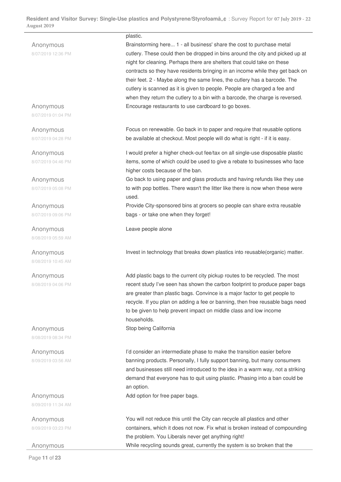| Brainstorming here 1 - all business' share the cost to purchase metal<br>Anonymous<br>cutlery. These could then be dropped in bins around the city and picked up at<br>8/07/2019 12:36 PM<br>night for cleaning. Perhaps there are shelters that could take on these<br>contracts so they have residents bringing in an income while they get back on<br>their feet. 2 - Maybe along the same lines, the cutlery has a barcode. The<br>cutlery is scanned as it is given to people. People are charged a fee and<br>when they return the cutlery to a bin with a barcode, the charge is reversed.<br>Encourage restaurants to use cardboard to go boxes.<br>Anonymous<br>8/07/2019 01:04 PM<br>Focus on renewable. Go back in to paper and require that reusable options<br>Anonymous<br>be available at checkout. Most people will do what is right - if it is easy.<br>8/07/2019 04:28 PM<br>I would prefer a higher check-out fee/tax on all single-use disposable plastic<br>Anonymous<br>items, some of which could be used to give a rebate to businesses who face<br>8/07/2019 04:46 PM<br>higher costs because of the ban.<br>Go back to using paper and glass products and having refunds like they use<br>Anonymous<br>to with pop bottles. There wasn't the litter like there is now when these were<br>8/07/2019 05:08 PM<br>used.<br>Provide City-sponsored bins at grocers so people can share extra reusable<br>Anonymous<br>bags - or take one when they forget!<br>8/07/2019 09:06 PM<br>Leave people alone<br>Anonymous<br>8/08/2019 05:59 AM<br>Invest in technology that breaks down plastics into reusable(organic) matter.<br>Anonymous<br>8/08/2019 10:45 AM<br>Add plastic bags to the current city pickup routes to be recycled. The most<br>Anonymous<br>recent study I've seen has shown the carbon footprint to produce paper bags<br>8/08/2019 04:06 PM<br>are greater than plastic bags. Convince is a major factor to get people to<br>recycle. If you plan on adding a fee or banning, then free reusable bags need<br>to be given to help prevent impact on middle class and low income<br>households.<br>Stop being California<br>Anonymous<br>8/08/2019 08:34 PM<br>I'd consider an intermediate phase to make the transition easier before<br>Anonymous<br>banning products. Personally, I fully support banning, but many consumers<br>8/09/2019 03:56 AM<br>and businesses still need introduced to the idea in a warm way, not a striking<br>demand that everyone has to quit using plastic. Phasing into a ban could be<br>an option.<br>Add option for free paper bags.<br>Anonymous<br>8/09/2019 11:34 AM<br>You will not reduce this until the City can recycle all plastics and other<br>Anonymous<br>containers, which it does not now. Fix what is broken instead of compounding<br>8/09/2019 03:23 PM<br>the problem. You Liberals never get anything right! |  | plastic. |
|-------------------------------------------------------------------------------------------------------------------------------------------------------------------------------------------------------------------------------------------------------------------------------------------------------------------------------------------------------------------------------------------------------------------------------------------------------------------------------------------------------------------------------------------------------------------------------------------------------------------------------------------------------------------------------------------------------------------------------------------------------------------------------------------------------------------------------------------------------------------------------------------------------------------------------------------------------------------------------------------------------------------------------------------------------------------------------------------------------------------------------------------------------------------------------------------------------------------------------------------------------------------------------------------------------------------------------------------------------------------------------------------------------------------------------------------------------------------------------------------------------------------------------------------------------------------------------------------------------------------------------------------------------------------------------------------------------------------------------------------------------------------------------------------------------------------------------------------------------------------------------------------------------------------------------------------------------------------------------------------------------------------------------------------------------------------------------------------------------------------------------------------------------------------------------------------------------------------------------------------------------------------------------------------------------------------------------------------------------------------------------------------------------------------------------------------------------------------------------------------------------------------------------------------------------------------------------------------------------------------------------------------------------------------------------------------------------------------------------------------------------------------------------------------------------------------------------------------------------------------------------------------------------------|--|----------|
|                                                                                                                                                                                                                                                                                                                                                                                                                                                                                                                                                                                                                                                                                                                                                                                                                                                                                                                                                                                                                                                                                                                                                                                                                                                                                                                                                                                                                                                                                                                                                                                                                                                                                                                                                                                                                                                                                                                                                                                                                                                                                                                                                                                                                                                                                                                                                                                                                                                                                                                                                                                                                                                                                                                                                                                                                                                                                                             |  |          |
|                                                                                                                                                                                                                                                                                                                                                                                                                                                                                                                                                                                                                                                                                                                                                                                                                                                                                                                                                                                                                                                                                                                                                                                                                                                                                                                                                                                                                                                                                                                                                                                                                                                                                                                                                                                                                                                                                                                                                                                                                                                                                                                                                                                                                                                                                                                                                                                                                                                                                                                                                                                                                                                                                                                                                                                                                                                                                                             |  |          |
|                                                                                                                                                                                                                                                                                                                                                                                                                                                                                                                                                                                                                                                                                                                                                                                                                                                                                                                                                                                                                                                                                                                                                                                                                                                                                                                                                                                                                                                                                                                                                                                                                                                                                                                                                                                                                                                                                                                                                                                                                                                                                                                                                                                                                                                                                                                                                                                                                                                                                                                                                                                                                                                                                                                                                                                                                                                                                                             |  |          |
|                                                                                                                                                                                                                                                                                                                                                                                                                                                                                                                                                                                                                                                                                                                                                                                                                                                                                                                                                                                                                                                                                                                                                                                                                                                                                                                                                                                                                                                                                                                                                                                                                                                                                                                                                                                                                                                                                                                                                                                                                                                                                                                                                                                                                                                                                                                                                                                                                                                                                                                                                                                                                                                                                                                                                                                                                                                                                                             |  |          |
|                                                                                                                                                                                                                                                                                                                                                                                                                                                                                                                                                                                                                                                                                                                                                                                                                                                                                                                                                                                                                                                                                                                                                                                                                                                                                                                                                                                                                                                                                                                                                                                                                                                                                                                                                                                                                                                                                                                                                                                                                                                                                                                                                                                                                                                                                                                                                                                                                                                                                                                                                                                                                                                                                                                                                                                                                                                                                                             |  |          |
|                                                                                                                                                                                                                                                                                                                                                                                                                                                                                                                                                                                                                                                                                                                                                                                                                                                                                                                                                                                                                                                                                                                                                                                                                                                                                                                                                                                                                                                                                                                                                                                                                                                                                                                                                                                                                                                                                                                                                                                                                                                                                                                                                                                                                                                                                                                                                                                                                                                                                                                                                                                                                                                                                                                                                                                                                                                                                                             |  |          |
|                                                                                                                                                                                                                                                                                                                                                                                                                                                                                                                                                                                                                                                                                                                                                                                                                                                                                                                                                                                                                                                                                                                                                                                                                                                                                                                                                                                                                                                                                                                                                                                                                                                                                                                                                                                                                                                                                                                                                                                                                                                                                                                                                                                                                                                                                                                                                                                                                                                                                                                                                                                                                                                                                                                                                                                                                                                                                                             |  |          |
|                                                                                                                                                                                                                                                                                                                                                                                                                                                                                                                                                                                                                                                                                                                                                                                                                                                                                                                                                                                                                                                                                                                                                                                                                                                                                                                                                                                                                                                                                                                                                                                                                                                                                                                                                                                                                                                                                                                                                                                                                                                                                                                                                                                                                                                                                                                                                                                                                                                                                                                                                                                                                                                                                                                                                                                                                                                                                                             |  |          |
|                                                                                                                                                                                                                                                                                                                                                                                                                                                                                                                                                                                                                                                                                                                                                                                                                                                                                                                                                                                                                                                                                                                                                                                                                                                                                                                                                                                                                                                                                                                                                                                                                                                                                                                                                                                                                                                                                                                                                                                                                                                                                                                                                                                                                                                                                                                                                                                                                                                                                                                                                                                                                                                                                                                                                                                                                                                                                                             |  |          |
|                                                                                                                                                                                                                                                                                                                                                                                                                                                                                                                                                                                                                                                                                                                                                                                                                                                                                                                                                                                                                                                                                                                                                                                                                                                                                                                                                                                                                                                                                                                                                                                                                                                                                                                                                                                                                                                                                                                                                                                                                                                                                                                                                                                                                                                                                                                                                                                                                                                                                                                                                                                                                                                                                                                                                                                                                                                                                                             |  |          |
|                                                                                                                                                                                                                                                                                                                                                                                                                                                                                                                                                                                                                                                                                                                                                                                                                                                                                                                                                                                                                                                                                                                                                                                                                                                                                                                                                                                                                                                                                                                                                                                                                                                                                                                                                                                                                                                                                                                                                                                                                                                                                                                                                                                                                                                                                                                                                                                                                                                                                                                                                                                                                                                                                                                                                                                                                                                                                                             |  |          |
|                                                                                                                                                                                                                                                                                                                                                                                                                                                                                                                                                                                                                                                                                                                                                                                                                                                                                                                                                                                                                                                                                                                                                                                                                                                                                                                                                                                                                                                                                                                                                                                                                                                                                                                                                                                                                                                                                                                                                                                                                                                                                                                                                                                                                                                                                                                                                                                                                                                                                                                                                                                                                                                                                                                                                                                                                                                                                                             |  |          |
|                                                                                                                                                                                                                                                                                                                                                                                                                                                                                                                                                                                                                                                                                                                                                                                                                                                                                                                                                                                                                                                                                                                                                                                                                                                                                                                                                                                                                                                                                                                                                                                                                                                                                                                                                                                                                                                                                                                                                                                                                                                                                                                                                                                                                                                                                                                                                                                                                                                                                                                                                                                                                                                                                                                                                                                                                                                                                                             |  |          |
|                                                                                                                                                                                                                                                                                                                                                                                                                                                                                                                                                                                                                                                                                                                                                                                                                                                                                                                                                                                                                                                                                                                                                                                                                                                                                                                                                                                                                                                                                                                                                                                                                                                                                                                                                                                                                                                                                                                                                                                                                                                                                                                                                                                                                                                                                                                                                                                                                                                                                                                                                                                                                                                                                                                                                                                                                                                                                                             |  |          |
|                                                                                                                                                                                                                                                                                                                                                                                                                                                                                                                                                                                                                                                                                                                                                                                                                                                                                                                                                                                                                                                                                                                                                                                                                                                                                                                                                                                                                                                                                                                                                                                                                                                                                                                                                                                                                                                                                                                                                                                                                                                                                                                                                                                                                                                                                                                                                                                                                                                                                                                                                                                                                                                                                                                                                                                                                                                                                                             |  |          |
|                                                                                                                                                                                                                                                                                                                                                                                                                                                                                                                                                                                                                                                                                                                                                                                                                                                                                                                                                                                                                                                                                                                                                                                                                                                                                                                                                                                                                                                                                                                                                                                                                                                                                                                                                                                                                                                                                                                                                                                                                                                                                                                                                                                                                                                                                                                                                                                                                                                                                                                                                                                                                                                                                                                                                                                                                                                                                                             |  |          |
|                                                                                                                                                                                                                                                                                                                                                                                                                                                                                                                                                                                                                                                                                                                                                                                                                                                                                                                                                                                                                                                                                                                                                                                                                                                                                                                                                                                                                                                                                                                                                                                                                                                                                                                                                                                                                                                                                                                                                                                                                                                                                                                                                                                                                                                                                                                                                                                                                                                                                                                                                                                                                                                                                                                                                                                                                                                                                                             |  |          |
|                                                                                                                                                                                                                                                                                                                                                                                                                                                                                                                                                                                                                                                                                                                                                                                                                                                                                                                                                                                                                                                                                                                                                                                                                                                                                                                                                                                                                                                                                                                                                                                                                                                                                                                                                                                                                                                                                                                                                                                                                                                                                                                                                                                                                                                                                                                                                                                                                                                                                                                                                                                                                                                                                                                                                                                                                                                                                                             |  |          |
|                                                                                                                                                                                                                                                                                                                                                                                                                                                                                                                                                                                                                                                                                                                                                                                                                                                                                                                                                                                                                                                                                                                                                                                                                                                                                                                                                                                                                                                                                                                                                                                                                                                                                                                                                                                                                                                                                                                                                                                                                                                                                                                                                                                                                                                                                                                                                                                                                                                                                                                                                                                                                                                                                                                                                                                                                                                                                                             |  |          |
|                                                                                                                                                                                                                                                                                                                                                                                                                                                                                                                                                                                                                                                                                                                                                                                                                                                                                                                                                                                                                                                                                                                                                                                                                                                                                                                                                                                                                                                                                                                                                                                                                                                                                                                                                                                                                                                                                                                                                                                                                                                                                                                                                                                                                                                                                                                                                                                                                                                                                                                                                                                                                                                                                                                                                                                                                                                                                                             |  |          |
|                                                                                                                                                                                                                                                                                                                                                                                                                                                                                                                                                                                                                                                                                                                                                                                                                                                                                                                                                                                                                                                                                                                                                                                                                                                                                                                                                                                                                                                                                                                                                                                                                                                                                                                                                                                                                                                                                                                                                                                                                                                                                                                                                                                                                                                                                                                                                                                                                                                                                                                                                                                                                                                                                                                                                                                                                                                                                                             |  |          |
|                                                                                                                                                                                                                                                                                                                                                                                                                                                                                                                                                                                                                                                                                                                                                                                                                                                                                                                                                                                                                                                                                                                                                                                                                                                                                                                                                                                                                                                                                                                                                                                                                                                                                                                                                                                                                                                                                                                                                                                                                                                                                                                                                                                                                                                                                                                                                                                                                                                                                                                                                                                                                                                                                                                                                                                                                                                                                                             |  |          |
|                                                                                                                                                                                                                                                                                                                                                                                                                                                                                                                                                                                                                                                                                                                                                                                                                                                                                                                                                                                                                                                                                                                                                                                                                                                                                                                                                                                                                                                                                                                                                                                                                                                                                                                                                                                                                                                                                                                                                                                                                                                                                                                                                                                                                                                                                                                                                                                                                                                                                                                                                                                                                                                                                                                                                                                                                                                                                                             |  |          |
|                                                                                                                                                                                                                                                                                                                                                                                                                                                                                                                                                                                                                                                                                                                                                                                                                                                                                                                                                                                                                                                                                                                                                                                                                                                                                                                                                                                                                                                                                                                                                                                                                                                                                                                                                                                                                                                                                                                                                                                                                                                                                                                                                                                                                                                                                                                                                                                                                                                                                                                                                                                                                                                                                                                                                                                                                                                                                                             |  |          |
|                                                                                                                                                                                                                                                                                                                                                                                                                                                                                                                                                                                                                                                                                                                                                                                                                                                                                                                                                                                                                                                                                                                                                                                                                                                                                                                                                                                                                                                                                                                                                                                                                                                                                                                                                                                                                                                                                                                                                                                                                                                                                                                                                                                                                                                                                                                                                                                                                                                                                                                                                                                                                                                                                                                                                                                                                                                                                                             |  |          |
|                                                                                                                                                                                                                                                                                                                                                                                                                                                                                                                                                                                                                                                                                                                                                                                                                                                                                                                                                                                                                                                                                                                                                                                                                                                                                                                                                                                                                                                                                                                                                                                                                                                                                                                                                                                                                                                                                                                                                                                                                                                                                                                                                                                                                                                                                                                                                                                                                                                                                                                                                                                                                                                                                                                                                                                                                                                                                                             |  |          |
|                                                                                                                                                                                                                                                                                                                                                                                                                                                                                                                                                                                                                                                                                                                                                                                                                                                                                                                                                                                                                                                                                                                                                                                                                                                                                                                                                                                                                                                                                                                                                                                                                                                                                                                                                                                                                                                                                                                                                                                                                                                                                                                                                                                                                                                                                                                                                                                                                                                                                                                                                                                                                                                                                                                                                                                                                                                                                                             |  |          |
|                                                                                                                                                                                                                                                                                                                                                                                                                                                                                                                                                                                                                                                                                                                                                                                                                                                                                                                                                                                                                                                                                                                                                                                                                                                                                                                                                                                                                                                                                                                                                                                                                                                                                                                                                                                                                                                                                                                                                                                                                                                                                                                                                                                                                                                                                                                                                                                                                                                                                                                                                                                                                                                                                                                                                                                                                                                                                                             |  |          |
|                                                                                                                                                                                                                                                                                                                                                                                                                                                                                                                                                                                                                                                                                                                                                                                                                                                                                                                                                                                                                                                                                                                                                                                                                                                                                                                                                                                                                                                                                                                                                                                                                                                                                                                                                                                                                                                                                                                                                                                                                                                                                                                                                                                                                                                                                                                                                                                                                                                                                                                                                                                                                                                                                                                                                                                                                                                                                                             |  |          |
|                                                                                                                                                                                                                                                                                                                                                                                                                                                                                                                                                                                                                                                                                                                                                                                                                                                                                                                                                                                                                                                                                                                                                                                                                                                                                                                                                                                                                                                                                                                                                                                                                                                                                                                                                                                                                                                                                                                                                                                                                                                                                                                                                                                                                                                                                                                                                                                                                                                                                                                                                                                                                                                                                                                                                                                                                                                                                                             |  |          |
|                                                                                                                                                                                                                                                                                                                                                                                                                                                                                                                                                                                                                                                                                                                                                                                                                                                                                                                                                                                                                                                                                                                                                                                                                                                                                                                                                                                                                                                                                                                                                                                                                                                                                                                                                                                                                                                                                                                                                                                                                                                                                                                                                                                                                                                                                                                                                                                                                                                                                                                                                                                                                                                                                                                                                                                                                                                                                                             |  |          |
|                                                                                                                                                                                                                                                                                                                                                                                                                                                                                                                                                                                                                                                                                                                                                                                                                                                                                                                                                                                                                                                                                                                                                                                                                                                                                                                                                                                                                                                                                                                                                                                                                                                                                                                                                                                                                                                                                                                                                                                                                                                                                                                                                                                                                                                                                                                                                                                                                                                                                                                                                                                                                                                                                                                                                                                                                                                                                                             |  |          |
|                                                                                                                                                                                                                                                                                                                                                                                                                                                                                                                                                                                                                                                                                                                                                                                                                                                                                                                                                                                                                                                                                                                                                                                                                                                                                                                                                                                                                                                                                                                                                                                                                                                                                                                                                                                                                                                                                                                                                                                                                                                                                                                                                                                                                                                                                                                                                                                                                                                                                                                                                                                                                                                                                                                                                                                                                                                                                                             |  |          |
|                                                                                                                                                                                                                                                                                                                                                                                                                                                                                                                                                                                                                                                                                                                                                                                                                                                                                                                                                                                                                                                                                                                                                                                                                                                                                                                                                                                                                                                                                                                                                                                                                                                                                                                                                                                                                                                                                                                                                                                                                                                                                                                                                                                                                                                                                                                                                                                                                                                                                                                                                                                                                                                                                                                                                                                                                                                                                                             |  |          |
|                                                                                                                                                                                                                                                                                                                                                                                                                                                                                                                                                                                                                                                                                                                                                                                                                                                                                                                                                                                                                                                                                                                                                                                                                                                                                                                                                                                                                                                                                                                                                                                                                                                                                                                                                                                                                                                                                                                                                                                                                                                                                                                                                                                                                                                                                                                                                                                                                                                                                                                                                                                                                                                                                                                                                                                                                                                                                                             |  |          |
|                                                                                                                                                                                                                                                                                                                                                                                                                                                                                                                                                                                                                                                                                                                                                                                                                                                                                                                                                                                                                                                                                                                                                                                                                                                                                                                                                                                                                                                                                                                                                                                                                                                                                                                                                                                                                                                                                                                                                                                                                                                                                                                                                                                                                                                                                                                                                                                                                                                                                                                                                                                                                                                                                                                                                                                                                                                                                                             |  |          |
|                                                                                                                                                                                                                                                                                                                                                                                                                                                                                                                                                                                                                                                                                                                                                                                                                                                                                                                                                                                                                                                                                                                                                                                                                                                                                                                                                                                                                                                                                                                                                                                                                                                                                                                                                                                                                                                                                                                                                                                                                                                                                                                                                                                                                                                                                                                                                                                                                                                                                                                                                                                                                                                                                                                                                                                                                                                                                                             |  |          |
|                                                                                                                                                                                                                                                                                                                                                                                                                                                                                                                                                                                                                                                                                                                                                                                                                                                                                                                                                                                                                                                                                                                                                                                                                                                                                                                                                                                                                                                                                                                                                                                                                                                                                                                                                                                                                                                                                                                                                                                                                                                                                                                                                                                                                                                                                                                                                                                                                                                                                                                                                                                                                                                                                                                                                                                                                                                                                                             |  |          |
|                                                                                                                                                                                                                                                                                                                                                                                                                                                                                                                                                                                                                                                                                                                                                                                                                                                                                                                                                                                                                                                                                                                                                                                                                                                                                                                                                                                                                                                                                                                                                                                                                                                                                                                                                                                                                                                                                                                                                                                                                                                                                                                                                                                                                                                                                                                                                                                                                                                                                                                                                                                                                                                                                                                                                                                                                                                                                                             |  |          |
|                                                                                                                                                                                                                                                                                                                                                                                                                                                                                                                                                                                                                                                                                                                                                                                                                                                                                                                                                                                                                                                                                                                                                                                                                                                                                                                                                                                                                                                                                                                                                                                                                                                                                                                                                                                                                                                                                                                                                                                                                                                                                                                                                                                                                                                                                                                                                                                                                                                                                                                                                                                                                                                                                                                                                                                                                                                                                                             |  |          |
|                                                                                                                                                                                                                                                                                                                                                                                                                                                                                                                                                                                                                                                                                                                                                                                                                                                                                                                                                                                                                                                                                                                                                                                                                                                                                                                                                                                                                                                                                                                                                                                                                                                                                                                                                                                                                                                                                                                                                                                                                                                                                                                                                                                                                                                                                                                                                                                                                                                                                                                                                                                                                                                                                                                                                                                                                                                                                                             |  |          |
|                                                                                                                                                                                                                                                                                                                                                                                                                                                                                                                                                                                                                                                                                                                                                                                                                                                                                                                                                                                                                                                                                                                                                                                                                                                                                                                                                                                                                                                                                                                                                                                                                                                                                                                                                                                                                                                                                                                                                                                                                                                                                                                                                                                                                                                                                                                                                                                                                                                                                                                                                                                                                                                                                                                                                                                                                                                                                                             |  |          |
|                                                                                                                                                                                                                                                                                                                                                                                                                                                                                                                                                                                                                                                                                                                                                                                                                                                                                                                                                                                                                                                                                                                                                                                                                                                                                                                                                                                                                                                                                                                                                                                                                                                                                                                                                                                                                                                                                                                                                                                                                                                                                                                                                                                                                                                                                                                                                                                                                                                                                                                                                                                                                                                                                                                                                                                                                                                                                                             |  |          |
|                                                                                                                                                                                                                                                                                                                                                                                                                                                                                                                                                                                                                                                                                                                                                                                                                                                                                                                                                                                                                                                                                                                                                                                                                                                                                                                                                                                                                                                                                                                                                                                                                                                                                                                                                                                                                                                                                                                                                                                                                                                                                                                                                                                                                                                                                                                                                                                                                                                                                                                                                                                                                                                                                                                                                                                                                                                                                                             |  |          |
|                                                                                                                                                                                                                                                                                                                                                                                                                                                                                                                                                                                                                                                                                                                                                                                                                                                                                                                                                                                                                                                                                                                                                                                                                                                                                                                                                                                                                                                                                                                                                                                                                                                                                                                                                                                                                                                                                                                                                                                                                                                                                                                                                                                                                                                                                                                                                                                                                                                                                                                                                                                                                                                                                                                                                                                                                                                                                                             |  |          |
|                                                                                                                                                                                                                                                                                                                                                                                                                                                                                                                                                                                                                                                                                                                                                                                                                                                                                                                                                                                                                                                                                                                                                                                                                                                                                                                                                                                                                                                                                                                                                                                                                                                                                                                                                                                                                                                                                                                                                                                                                                                                                                                                                                                                                                                                                                                                                                                                                                                                                                                                                                                                                                                                                                                                                                                                                                                                                                             |  |          |
|                                                                                                                                                                                                                                                                                                                                                                                                                                                                                                                                                                                                                                                                                                                                                                                                                                                                                                                                                                                                                                                                                                                                                                                                                                                                                                                                                                                                                                                                                                                                                                                                                                                                                                                                                                                                                                                                                                                                                                                                                                                                                                                                                                                                                                                                                                                                                                                                                                                                                                                                                                                                                                                                                                                                                                                                                                                                                                             |  |          |
|                                                                                                                                                                                                                                                                                                                                                                                                                                                                                                                                                                                                                                                                                                                                                                                                                                                                                                                                                                                                                                                                                                                                                                                                                                                                                                                                                                                                                                                                                                                                                                                                                                                                                                                                                                                                                                                                                                                                                                                                                                                                                                                                                                                                                                                                                                                                                                                                                                                                                                                                                                                                                                                                                                                                                                                                                                                                                                             |  |          |
|                                                                                                                                                                                                                                                                                                                                                                                                                                                                                                                                                                                                                                                                                                                                                                                                                                                                                                                                                                                                                                                                                                                                                                                                                                                                                                                                                                                                                                                                                                                                                                                                                                                                                                                                                                                                                                                                                                                                                                                                                                                                                                                                                                                                                                                                                                                                                                                                                                                                                                                                                                                                                                                                                                                                                                                                                                                                                                             |  |          |
|                                                                                                                                                                                                                                                                                                                                                                                                                                                                                                                                                                                                                                                                                                                                                                                                                                                                                                                                                                                                                                                                                                                                                                                                                                                                                                                                                                                                                                                                                                                                                                                                                                                                                                                                                                                                                                                                                                                                                                                                                                                                                                                                                                                                                                                                                                                                                                                                                                                                                                                                                                                                                                                                                                                                                                                                                                                                                                             |  |          |

Anonymous While recycling sounds great, currently the system is so broken that the

Page **11** of **23**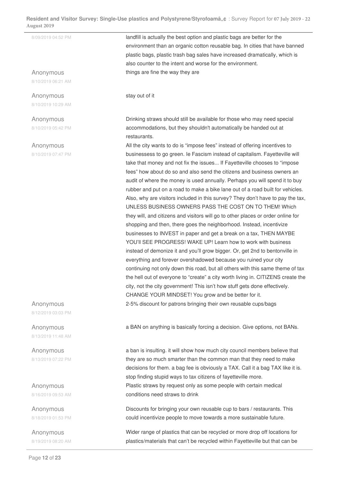## Anonymous

8/10/2019 06:21 AM

Anonymous 8/10/2019 10:29 AM

Anonymous 8/10/2019 05:42 PM

Anonymous 8/10/2019 07:47 PM

## Anonymous

8/12/2019 03:03 PM

Anonymous 8/13/2019 11:48 AM

Anonymous 8/13/2019 07:22 PM

Anonymous 8/16/2019 09:53 AM

Anonymous 8/18/2019 01:53 PM

Anonymous 8/19/2019 08:20 AM

Page **12** of **23**

8/09/2019 04:52 PM **landfill is actually the best option and plastic bags are better for the** environment than an organic cotton reusable bag. In cities that have banned plastic bags, plastic trash bag sales have increased dramatically, which is also counter to the intent and worse for the environment. things are fine the way they are

stay out of it

Drinking straws should still be available for those who may need special accommodations, but they shouldn't automatically be handed out at restaurants.

All the city wants to do is "impose fees" instead of offering incentives to businessess to go green. Ie Fascism instead of capitalism. Fayetteville will take that money and not fix the issues... If Fayetteville chooses to "impose fees" how about do so and also send the citizens and business owners an audit of where the money is used annually. Perhaps you will spend it to buy rubber and put on a road to make a bike lane out of a road built for vehicles. Also, why are visitors included in this survey? They don't have to pay the tax, UNLESS BUSINESS OWNERS PASS THE COST ON TO THEM! Which they will, and citizens and visitors will go to other places or order online for shopping and then, there goes the neighborhood. Instead, incentivize businesses to INVEST in paper and get a break on a tax, THEN MAYBE YOU'll SEE PROGRESS! WAKE UP! Learn how to work with business instead of demonize it and you'll grow bigger. Or, get 2nd to bentonville in everything and forever overshadowed because you ruined your city continuing not only down this road, but all others with this same theme of tax the hell out of everyone to "create" a city worth living in. CITIZENS create the city, not the city government! This isn't how stuff gets done effectively. CHANGE YOUR MINDSET! You grow and be better for it. 2-5% discount for patrons bringing their own reusable cups/bags

a BAN on anything is basically forcing a decision. Give options, not BANs.

a ban is insulting. it will show how much city council members believe that they are so much smarter than the common man that they need to make decisions for them. a bag fee is obviously a TAX. Call it a bag TAX like it is. stop finding stupid ways to tax citizens of fayetteville more. Plastic straws by request only as some people with certain medical conditions need straws to drink

Discounts for bringing your own reusable cup to bars / restaurants. This could incentivize people to move towards a more sustainable future.

Wider range of plastics that can be recycled or more drop off locations for plastics/materials that can't be recycled within Fayetteville but that can be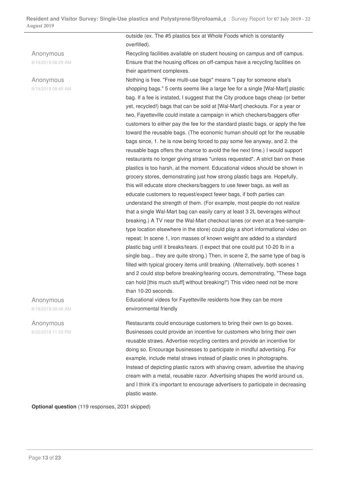## Anonymous

8/19/2019 08:29 AM

## Anonymous

8/19/2019 08:45 AM

outside (ex. The #5 plastics box at Whole Foods which is constantly overfilled).

Recycling facilities available on student housing on campus and off campus. Ensure that the housing offices on off-campus have a recycling facilities on their apartment complexes.

Nothing is free. "Free multi-use bags" means "I pay for someone else's shopping bags." 5 cents seems like a large fee for a single [Wal-Mart] plastic bag. If a fee is instated, I suggest that the City produce bags cheap (or better yet, recycled!) bags that can be sold at [Wal-Mart] checkouts. For a year or two, Fayetteville could instate a campaign in which checkers/baggers offer customers to either pay the fee for the standard plastic bags, or apply the fee toward the reusable bags. (The economic human should opt for the reusable bags since, 1. he is now being forced to pay some fee anyway, and 2. the reusable bags offers the chance to avoid the fee next time.) I would support restaurants no longer giving straws \*unless requested\*. A strict ban on these plastics is too harsh, at the moment. Educational videos should be shown in grocery stores, demonstrating just how strong plastic bags are. Hopefully, this will educate store checkers/baggers to use fewer bags, as well as educate customers to request/expect fewer bags, if both parties can understand the strength of them. (For example, most people do not realize that a single Wal-Mart bag can easily carry at least 3 2L beverages without breaking.) A TV near the Wal-Mart checkout lanes (or even at a free-sampletype location elsewhere in the store) could play a short informational video on repeat: In scene 1, iron masses of known weight are added to a standard plastic bag until it breaks/tears. (I expect that one could put 10-20 lb in a single bag... they are quite strong.) Then, in scene 2, the same type of bag is filled with typical grocery items until breaking. (Alternatively, both scenes 1 and 2 could stop before breaking/tearing occurs, demonstrating, "These bags can hold [this much stuff] without breaking!") This video need not be more than 10-20 seconds.

Educational videos for Fayetteville residents how they can be more environmental friendly

Restaurants could encourage customers to bring their own to go boxes. Businesses could provide an incentive for customers who bring their own reusable straws. Advertise recycling centers and provide an incentive for doing so. Encourage businesses to participate in mindful advertising. For example, include metal straws instead of plastic ones in photographs. Instead of depicting plastic razors with shaving cream, advertise the shaving cream with a metal, reusable razor. Advertising shapes the world around us, and I think it's important to encourage advertisers to participate in decreasing plastic waste.

**Optional question** (119 responses, 2031 skipped)

Anonymous 8/19/2019 09:46 AM

Anonymous 8/20/2019 11:53 PM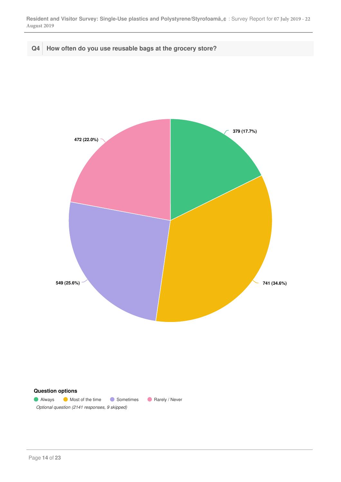## **Q4 How often do you use reusable bags at the grocery store?**

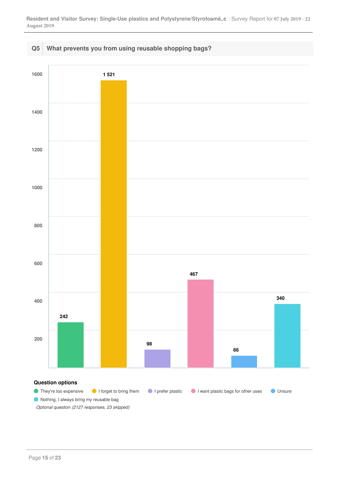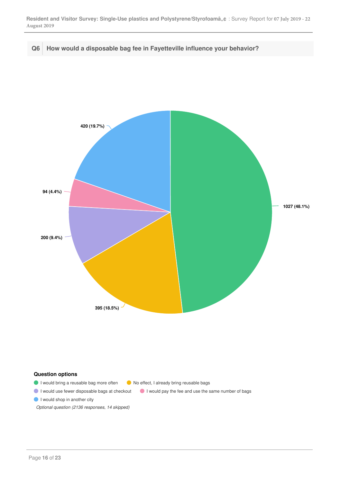

**Q6 How would a disposable bag fee in Fayetteville influence your behavior?**



## **Question options**

- I would bring a reusable bag more often <br>
I would bring a reusable bags
- I would use fewer disposable bags at checkout I would pay the fee and use the same number of bags
- I would shop in another city

*Optional question (2136 responses, 14 skipped)*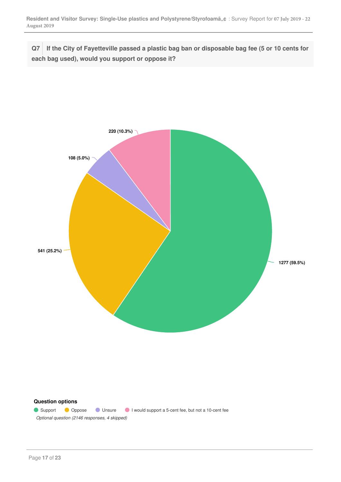**Q7 If the City of Fayetteville passed a plastic bag ban or disposable bag fee (5 or 10 cents for each bag used), would you support or oppose it?**



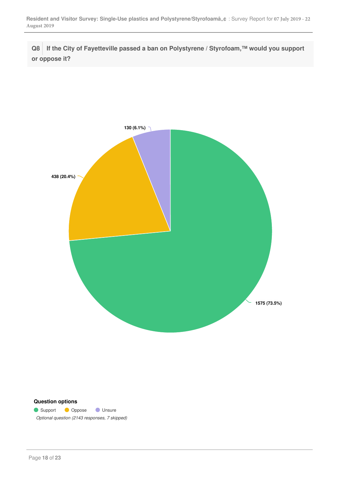**Q8 If the City of Fayetteville passed a ban on Polystyrene / Styrofoam,™ would you support or oppose it?**



### **Question options**

Geology Support Compose Component Compose Compose *Optional question (2143 responses, 7 skipped)*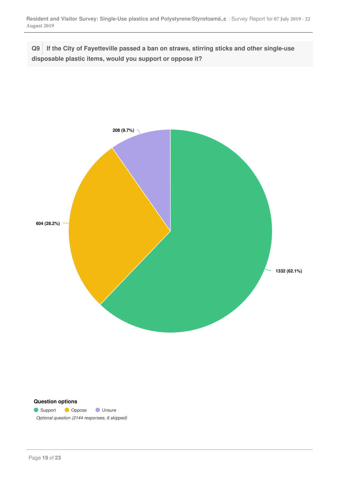**Q9 If the City of Fayetteville passed a ban on straws, stirring sticks and other single-use disposable plastic items, would you support or oppose it?**



### **Question options**

Geology Support Compose Component Compose Compose *Optional question (2144 responses, 6 skipped)*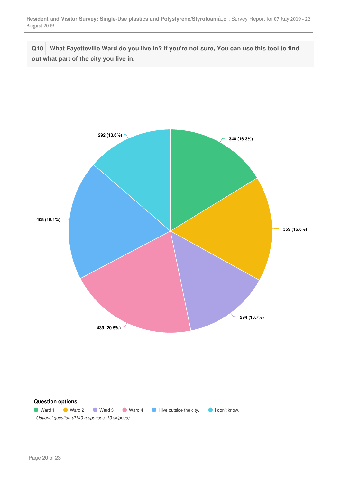**Q10 What Fayetteville Ward do you live in? If you're not sure, You can use this tool to find out what part of the city you live in.**

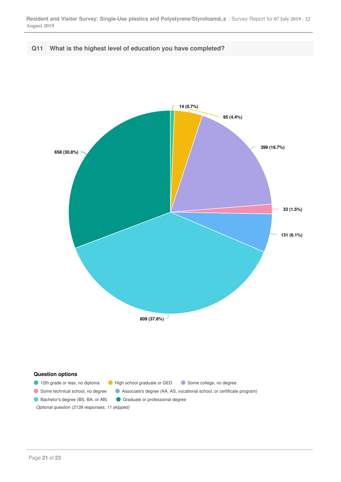**Q11 What is the highest level of education you have completed?**

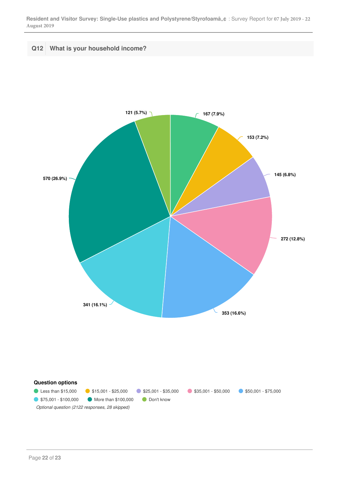